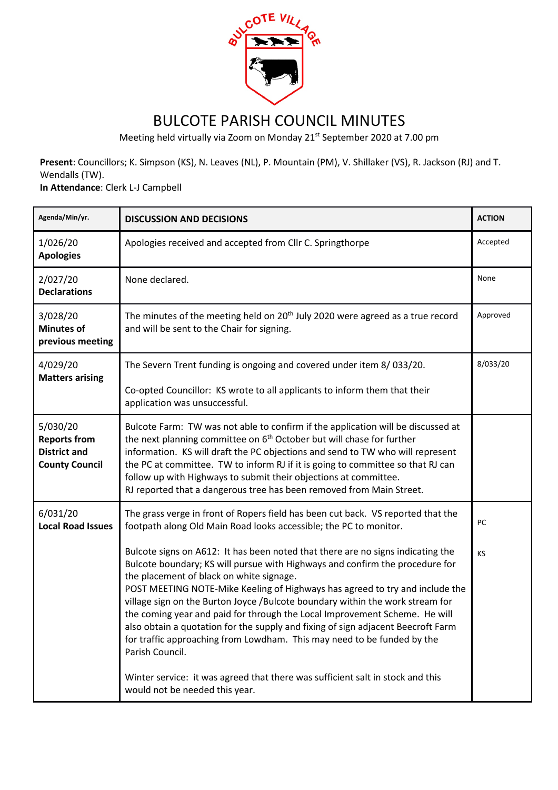

## BULCOTE PARISH COUNCIL MINUTES

Meeting held virtually via Zoom on Monday 21<sup>st</sup> September 2020 at 7.00 pm

**Present**: Councillors; K. Simpson (KS), N. Leaves (NL), P. Mountain (PM), V. Shillaker (VS), R. Jackson (RJ) and T. Wendalls (TW).

**In Attendance**: Clerk L-J Campbell

| Agenda/Min/yr.                                                                  | <b>DISCUSSION AND DECISIONS</b>                                                                                                                                                                                                                                                                                                                                                                                                                                                                                                                                                                                                                                                                                                | <b>ACTION</b> |
|---------------------------------------------------------------------------------|--------------------------------------------------------------------------------------------------------------------------------------------------------------------------------------------------------------------------------------------------------------------------------------------------------------------------------------------------------------------------------------------------------------------------------------------------------------------------------------------------------------------------------------------------------------------------------------------------------------------------------------------------------------------------------------------------------------------------------|---------------|
| 1/026/20<br><b>Apologies</b>                                                    | Apologies received and accepted from Cllr C. Springthorpe                                                                                                                                                                                                                                                                                                                                                                                                                                                                                                                                                                                                                                                                      | Accepted      |
| 2/027/20<br><b>Declarations</b>                                                 | None declared.                                                                                                                                                                                                                                                                                                                                                                                                                                                                                                                                                                                                                                                                                                                 | None          |
| 3/028/20<br><b>Minutes of</b><br>previous meeting                               | The minutes of the meeting held on $20th$ July 2020 were agreed as a true record<br>and will be sent to the Chair for signing.                                                                                                                                                                                                                                                                                                                                                                                                                                                                                                                                                                                                 | Approved      |
| 4/029/20<br><b>Matters arising</b>                                              | The Severn Trent funding is ongoing and covered under item 8/033/20.                                                                                                                                                                                                                                                                                                                                                                                                                                                                                                                                                                                                                                                           | 8/033/20      |
|                                                                                 | Co-opted Councillor: KS wrote to all applicants to inform them that their<br>application was unsuccessful.                                                                                                                                                                                                                                                                                                                                                                                                                                                                                                                                                                                                                     |               |
| 5/030/20<br><b>Reports from</b><br><b>District and</b><br><b>County Council</b> | Bulcote Farm: TW was not able to confirm if the application will be discussed at<br>the next planning committee on 6 <sup>th</sup> October but will chase for further<br>information. KS will draft the PC objections and send to TW who will represent<br>the PC at committee. TW to inform RJ if it is going to committee so that RJ can<br>follow up with Highways to submit their objections at committee.<br>RJ reported that a dangerous tree has been removed from Main Street.                                                                                                                                                                                                                                         |               |
| 6/031/20<br><b>Local Road Issues</b>                                            | The grass verge in front of Ropers field has been cut back. VS reported that the<br>footpath along Old Main Road looks accessible; the PC to monitor.                                                                                                                                                                                                                                                                                                                                                                                                                                                                                                                                                                          | PC            |
|                                                                                 | Bulcote signs on A612: It has been noted that there are no signs indicating the<br>Bulcote boundary; KS will pursue with Highways and confirm the procedure for<br>the placement of black on white signage.<br>POST MEETING NOTE-Mike Keeling of Highways has agreed to try and include the<br>village sign on the Burton Joyce /Bulcote boundary within the work stream for<br>the coming year and paid for through the Local Improvement Scheme. He will<br>also obtain a quotation for the supply and fixing of sign adjacent Beecroft Farm<br>for traffic approaching from Lowdham. This may need to be funded by the<br>Parish Council.<br>Winter service: it was agreed that there was sufficient salt in stock and this | <b>KS</b>     |
|                                                                                 | would not be needed this year.                                                                                                                                                                                                                                                                                                                                                                                                                                                                                                                                                                                                                                                                                                 |               |